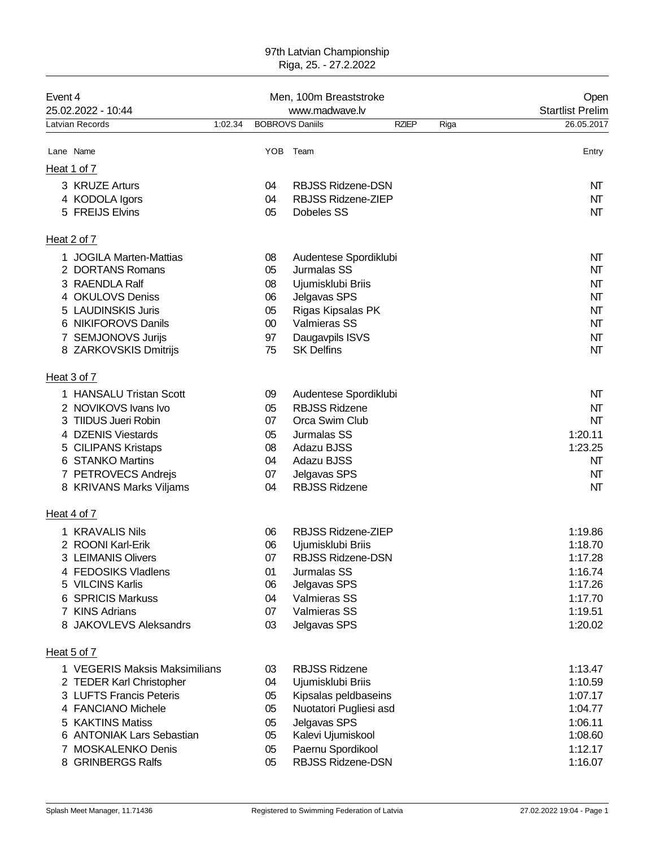## 97th Latvian Championship Riga, 25. - 27.2.2022

| Event 4<br>25.02.2022 - 10:44               |          | Men, 100m Breaststroke<br>www.madwave.lv      |              | Open<br><b>Startlist Prelim</b> |                    |
|---------------------------------------------|----------|-----------------------------------------------|--------------|---------------------------------|--------------------|
| Latvian Records                             | 1:02.34  | <b>BOBROVS Daniils</b>                        | <b>RZIEP</b> | Riga                            | 26.05.2017         |
| Lane Name                                   |          | YOB Team                                      |              |                                 | Entry              |
| Heat 1 of 7                                 |          |                                               |              |                                 |                    |
| 3 KRUZE Arturs                              | 04       | <b>RBJSS Ridzene-DSN</b>                      |              |                                 | NT                 |
| 4 KODOLA Igors                              | 04       | <b>RBJSS Ridzene-ZIEP</b>                     |              |                                 | NT                 |
| 5 FREIJS Elvins                             | 05       | Dobeles SS                                    |              |                                 | NT                 |
| Heat 2 of 7                                 |          |                                               |              |                                 |                    |
| <b>JOGILA Marten-Mattias</b>                | 08       | Audentese Spordiklubi                         |              |                                 | NT                 |
| 2 DORTANS Romans                            | 05       | Jurmalas SS                                   |              |                                 | NΤ                 |
| 3 RAENDLA Ralf                              | 08       | Ujumisklubi Briis                             |              |                                 | NΤ                 |
| 4 OKULOVS Deniss                            | 06       | Jelgavas SPS                                  |              |                                 | NT                 |
| <b>LAUDINSKIS Juris</b>                     | 05       | Rigas Kipsalas PK                             |              |                                 | NΤ                 |
| <b>NIKIFOROVS Danils</b><br>6               | $00\,$   | Valmieras SS                                  |              |                                 | NΤ                 |
| 7 SEMJONOVS Jurijs<br>8 ZARKOVSKIS Dmitrijs | 97<br>75 | Daugavpils ISVS<br><b>SK Delfins</b>          |              |                                 | NT<br>NΤ           |
| Heat 3 of 7                                 |          |                                               |              |                                 |                    |
| 1 HANSALU Tristan Scott                     |          |                                               |              |                                 | NΤ                 |
| 2 NOVIKOVS Ivans Ivo                        | 09<br>05 | Audentese Spordiklubi<br><b>RBJSS Ridzene</b> |              |                                 | NT                 |
| TIIDUS Jueri Robin                          | 07       | Orca Swim Club                                |              |                                 | NΤ                 |
| 4 DZENIS Viestards                          | 05       | Jurmalas SS                                   |              |                                 | 1:20.11            |
| 5 CILIPANS Kristaps                         | 08       | Adazu BJSS                                    |              |                                 | 1:23.25            |
| 6 STANKO Martins                            | 04       | Adazu BJSS                                    |              |                                 | NΤ                 |
| 7 PETROVECS Andrejs                         | 07       | Jelgavas SPS                                  |              |                                 | NΤ                 |
| 8 KRIVANS Marks Viljams                     | 04       | <b>RBJSS Ridzene</b>                          |              |                                 | NΤ                 |
| Heat 4 of 7                                 |          |                                               |              |                                 |                    |
| 1 KRAVALIS Nils                             | 06       | RBJSS Ridzene-ZIEP                            |              |                                 | 1:19.86            |
| 2 ROONI Karl-Erik                           | 06       | Ujumisklubi Briis                             |              |                                 | 1:18.70            |
| 3 LEIMANIS Olivers                          | 07       | <b>RBJSS Ridzene-DSN</b>                      |              |                                 | 1:17.28            |
| 4 FEDOSIKS Vladlens                         | 01       | Jurmalas SS                                   |              |                                 | 1:16.74            |
| 5 VILCINS Karlis                            | 06       | Jelgavas SPS                                  |              |                                 | 1:17.26            |
| 6 SPRICIS Markuss<br>7 KINS Adrians         | 04<br>07 | Valmieras SS<br><b>Valmieras SS</b>           |              |                                 | 1:17.70<br>1:19.51 |
| <b>JAKOVLEVS Aleksandrs</b><br>8            | 03       | Jelgavas SPS                                  |              |                                 | 1:20.02            |
| Heat 5 of 7                                 |          |                                               |              |                                 |                    |
| 1 VEGERIS Maksis Maksimilians               | 03       | <b>RBJSS Ridzene</b>                          |              |                                 | 1:13.47            |
| 2 TEDER Karl Christopher                    | 04       | Ujumisklubi Briis                             |              |                                 | 1:10.59            |
| 3 LUFTS Francis Peteris                     | 05       | Kipsalas peldbaseins                          |              |                                 | 1:07.17            |
| 4 FANCIANO Michele                          | 05       | Nuotatori Pugliesi asd                        |              |                                 | 1:04.77            |
| 5 KAKTINS Matiss                            | 05       | Jelgavas SPS                                  |              |                                 | 1:06.11            |
| 6 ANTONIAK Lars Sebastian                   | 05       | Kalevi Ujumiskool                             |              |                                 | 1:08.60            |
| 7 MOSKALENKO Denis                          | 05       | Paernu Spordikool                             |              |                                 | 1:12.17            |
| 8 GRINBERGS Ralfs                           | 05       | RBJSS Ridzene-DSN                             |              |                                 | 1:16.07            |
|                                             |          |                                               |              |                                 |                    |